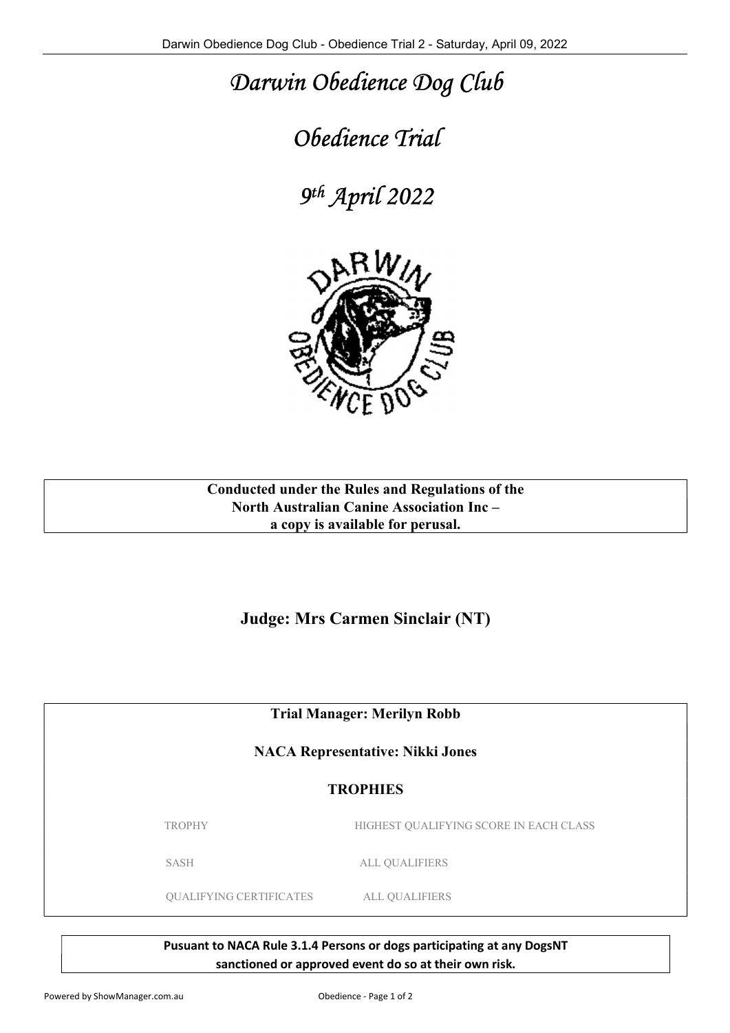## Darwin Obedience Dog Club

## Obedience Trial

9 th April 2022



Conducted under the Rules and Regulations of the North Australian Canine Association Inc – a copy is available for perusal.

Judge: Mrs Carmen Sinclair (NT)

Trial Manager: Merilyn Robb

NACA Representative: Nikki Jones

## **TROPHIES**

TROPHY HIGHEST QUALIFYING SCORE IN EACH CLASS

SASH ALL QUALIFIERS

QUALIFYING CERTIFICATES ALL QUALIFIERS

Pusuant to NACA Rule 3.1.4 Persons or dogs participating at any DogsNT sanctioned or approved event do so at their own risk.